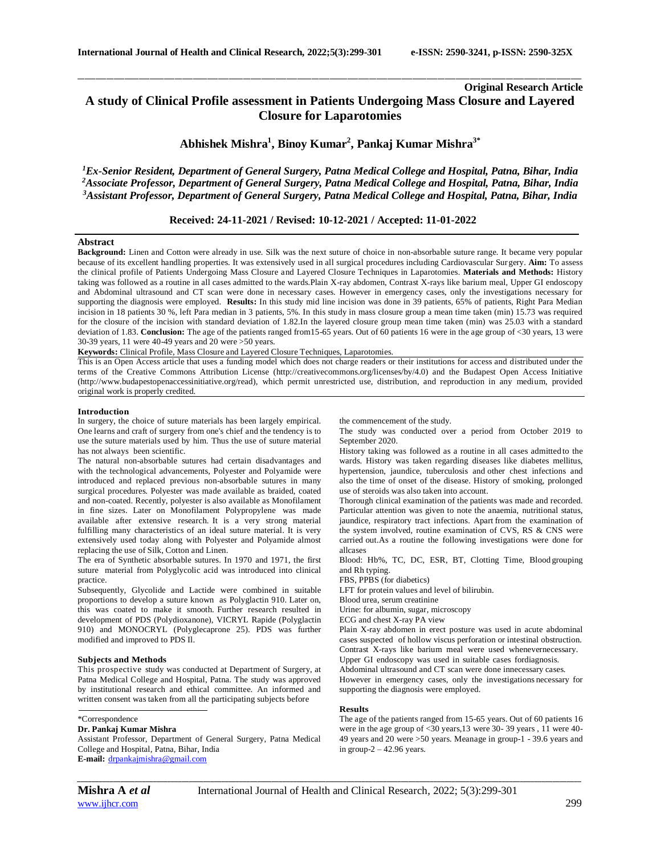# **Original Research Article A study of Clinical Profile assessment in Patients Undergoing Mass Closure and Layered Closure for Laparotomies**

\_\_\_\_\_\_\_\_\_\_\_\_\_\_\_\_\_\_\_\_\_\_\_\_\_\_\_\_\_\_\_\_\_\_\_\_\_\_\_\_\_\_\_\_\_\_\_\_\_\_\_\_\_\_\_\_\_\_\_\_\_\_\_\_\_\_\_\_\_\_\_\_\_\_\_\_\_\_\_\_\_\_\_\_\_\_\_\_\_\_\_\_\_\_\_\_\_\_\_\_\_\_\_\_\_\_\_\_\_\_\_\_\_\_\_\_\_\_\_\_\_\_\_\_\_\_\_\_\_\_\_\_\_\_\_\_\_\_\_\_

**Abhishek Mishra<sup>1</sup> , Binoy Kumar<sup>2</sup> , Pankaj Kumar Mishra3\***

*<sup>1</sup>Ex-Senior Resident, Department of General Surgery, Patna Medical College and Hospital, Patna, Bihar, India <sup>2</sup>Associate Professor, Department of General Surgery, Patna Medical College and Hospital, Patna, Bihar, India <sup>3</sup>Assistant Professor, Department of General Surgery, Patna Medical College and Hospital, Patna, Bihar, India*

### **Received: 24-11-2021 / Revised: 10-12-2021 / Accepted: 11-01-2022**

### **Abstract**

**Background:** Linen and Cotton were already in use. Silk was the next suture of choice in non-absorbable suture range. It became very popular because of its excellent handling properties. It was extensively used in all surgical procedures including Cardiovascular Surgery. **Aim:** To assess the clinical profile of Patients Undergoing Mass Closure and Layered Closure Techniques in Laparotomies. **Materials and Methods:** History taking was followed as a routine in all cases admitted to the wards.Plain X-ray abdomen, Contrast X-rays like barium meal, Upper GI endoscopy and Abdominal ultrasound and CT scan were done in necessary cases. However in emergency cases, only the investigations necessary for supporting the diagnosis were employed. **Results:** In this study mid line incision was done in 39 patients, 65% of patients, Right Para Median incision in 18 patients 30 %, left Para median in 3 patients, 5%. In this study in mass closure group a mean time taken (min) 15.73 was required for the closure of the incision with standard deviation of 1.82.In the layered closure group mean time taken (min) was 25.03 with a standard deviation of 1.83. **Conclusion:** The age of the patients ranged from15-65 years. Out of 60 patients 16 were in the age group of <30 years, 13 were 30-39 years, 11 were 40-49 years and 20 were >50 years.

**Keywords:** Clinical Profile, Mass Closure and Layered Closure Techniques, Laparotomies.

This is an Open Access article that uses a funding model which does not charge readers or their institutions for access and distributed under the terms of the Creative Commons Attribution License (http://creativecommons.org/licenses/by/4.0) and the Budapest Open Access Initiative (http://www.budapestopenaccessinitiative.org/read), which permit unrestricted use, distribution, and reproduction in any medium, provided original work is properly credited.

#### **Introduction**

In surgery, the choice of suture materials has been largely empirical. One learns and craft of surgery from one's chief and the tendency is to use the suture materials used by him. Thus the use of suture material has not always been scientific.

The natural non-absorbable sutures had certain disadvantages and with the technological advancements, Polyester and Polyamide were introduced and replaced previous non-absorbable sutures in many surgical procedures. Polyester was made available as braided, coated and non-coated. Recently, polyester is also available as Monofilament in fine sizes. Later on Monofilament Polypropylene was made available after extensive research. It is a very strong material fulfilling many characteristics of an ideal suture material. It is very extensively used today along with Polyester and Polyamide almost replacing the use of Silk, Cotton and Linen.

The era of Synthetic absorbable sutures. In 1970 and 1971, the first suture material from Polyglycolic acid was introduced into clinical practice.

Subsequently, Glycolide and Lactide were combined in suitable proportions to develop a suture known as Polyglactin 910. Later on, this was coated to make it smooth. Further research resulted in development of PDS (Polydioxanone), VICRYL Rapide (Polyglactin 910) and MONOCRYL (Polyglecaprone 25). PDS was further modified and improved to PDS Il.

### **Subjects and Methods**

This prospective study was conducted at Department of Surgery, at Patna Medical College and Hospital, Patna. The study was approved by institutional research and ethical committee. An informed and written consent was taken from all the participating subjects before

\*Correspondence

### **Dr. Pankaj Kumar Mishra**

Assistant Professor, Department of General Surgery, Patna Medical College and Hospital, Patna, Bihar, India **E-mail:** [drpankajmishra@gmail.com](mailto:drpankajmishra@gmail.com)

*\_\_\_\_\_\_\_\_\_\_\_\_\_\_\_\_\_\_\_\_\_\_\_\_\_\_\_\_\_\_\_\_\_\_\_\_\_\_\_\_\_\_\_\_\_\_\_\_\_\_\_\_\_\_\_\_\_\_\_\_\_\_\_\_\_\_\_\_\_\_\_\_\_\_\_\_\_\_\_\_\_\_\_\_\_\_\_\_\_\_\_\_\_\_\_\_\_\_\_\_\_\_\_\_\_\_\_\_\_\_\_\_\_\_\_\_\_\_\_\_\_\_\_\_\_\_\_\_\_\_\_\_\_\_\_\_\_\_\_\_*

the commencement of the study.

The study was conducted over a period from October 2019 to September 2020.

History taking was followed as a routine in all cases admitted to the wards. History was taken regarding diseases like diabetes mellitus, hypertension, jaundice, tuberculosis and other chest infections and also the time of onset of the disease. History of smoking, prolonged use of steroids was also taken into account.

Thorough clinical examination of the patients was made and recorded. Particular attention was given to note the anaemia, nutritional status, jaundice, respiratory tract infections. Apart from the examination of the system involved, routine examination of CVS, RS & CNS were carried out.As a routine the following investigations were done for allcases

Blood: Hb%, TC, DC, ESR, BT, Clotting Time, Blood grouping and Rh typing.

FBS, PPBS (for diabetics)

LFT for protein values and level of bilirubin.

Blood urea, serum creatinine

Urine: for albumin, sugar, microscopy

ECG and chest X-ray PA view

Plain X-ray abdomen in erect posture was used in acute abdominal cases suspected of hollow viscus perforation or intestinal obstruction. Contrast X-rays like barium meal were used whenevernecessary. Upper GI endoscopy was used in suitable cases fordiagnosis.

Abdominal ultrasound and CT scan were done innecessary cases.

However in emergency cases, only the investigations necessary for supporting the diagnosis were employed.

#### **Results**

The age of the patients ranged from 15-65 years. Out of 60 patients 16 were in the age group of <30 years,13 were 30- 39 years , 11 were 40- 49 years and 20 were >50 years. Meanage in group-1 - 39.6 years and in group-2 – 42.96 years.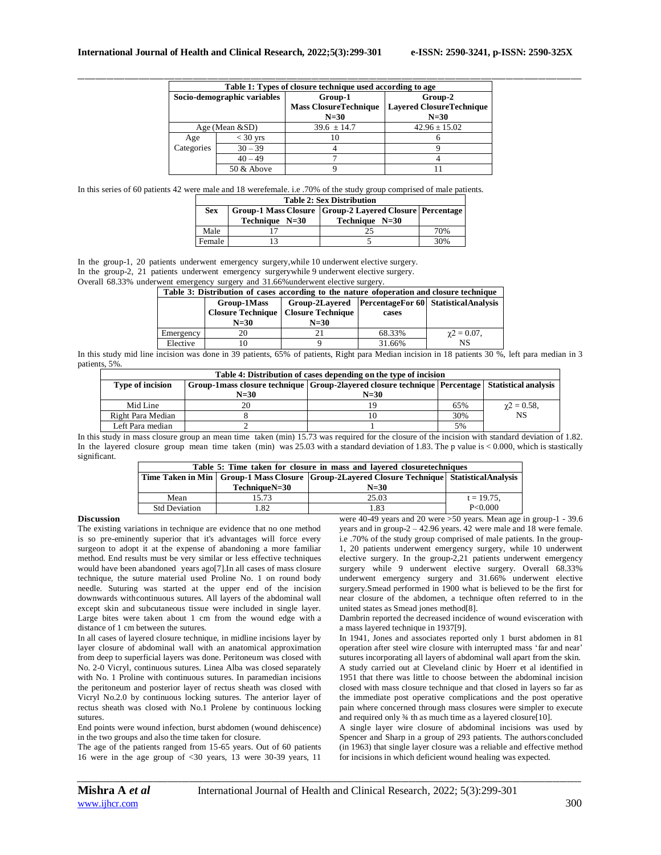| Table 1: Types of closure technique used according to age |                             |                   |                                                                              |
|-----------------------------------------------------------|-----------------------------|-------------------|------------------------------------------------------------------------------|
|                                                           | Socio-demographic variables | Group-1<br>$N=30$ | Group-2<br><b>Mass ClosureTechnique   Lavered ClosureTechnique</b><br>$N=30$ |
|                                                           | Age (Mean $&$ SD)           | $39.6 \pm 14.7$   | $42.96 \pm 15.02$                                                            |
| Age                                                       | $<$ 30 yrs                  | 10                |                                                                              |
| Categories                                                | $30 - 39$                   |                   |                                                                              |
|                                                           | $40 - 49$                   |                   |                                                                              |
|                                                           | 50 & Above                  |                   |                                                                              |

In this series of 60 patients 42 were male and 18 werefemale. i.e .70% of the study group comprised of male patients.

| <b>Table 2: Sex Distribution</b> |                  |                                                             |     |  |
|----------------------------------|------------------|-------------------------------------------------------------|-----|--|
| <b>Sex</b>                       |                  | Group-1 Mass Closure   Group-2 Layered Closure   Percentage |     |  |
|                                  | Technique $N=30$ | Technique N=30                                              |     |  |
| Male                             |                  |                                                             | 70% |  |
| Female                           |                  |                                                             | 30% |  |

In the group-1, 20 patients underwent emergency surgery,while 10 underwent elective surgery.

In the group-2, 21 patients underwent emergency surgerywhile 9 underwent elective surgery.

Overall 68.33% underwent emergency surgery and 31.66%underwent elective surgery.

| Table 3: Distribution of cases according to the nature of operation and closure technique |             |                                                |        |                                                         |
|-------------------------------------------------------------------------------------------|-------------|------------------------------------------------|--------|---------------------------------------------------------|
|                                                                                           | Group-1Mass |                                                |        | Group-2Layered   PercentageFor 60   StatisticalAnalysis |
|                                                                                           |             | <b>Closure Technique   Closure Technique  </b> | cases  |                                                         |
|                                                                                           | $N=30$      | $N=30$                                         |        |                                                         |
| Emergency                                                                                 |             |                                                | 68.33% | $\gamma$ 2 = 0.07,                                      |
| Elective                                                                                  |             |                                                | 31.66% | NS                                                      |

In this study mid line incision was done in 39 patients, 65% of patients, Right para Median incision in 18 patients 30 %, left para median in 3 patients, 5%.

| Table 4: Distribution of cases depending on the type of incision |                                                                                                      |        |     |                    |
|------------------------------------------------------------------|------------------------------------------------------------------------------------------------------|--------|-----|--------------------|
| <b>Type of incision</b>                                          | Group-1mass closure technique   Group-2layered closure technique   Percentage   Statistical analysis |        |     |                    |
|                                                                  | $N=30$                                                                                               | $N=30$ |     |                    |
| Mid Line                                                         | 20                                                                                                   | 19     | 65% | $\gamma$ 2 = 0.58, |
| Right Para Median                                                |                                                                                                      | 10     | 30% | <b>NS</b>          |
| Left Para median                                                 |                                                                                                      |        | 5%  |                    |

In this study in mass closure group an mean time taken (min) 15.73 was required for the closure of the incision with standard deviation of 1.82. In the layered closure group mean time taken (min) was 25.03 with a standard deviation of 1.83. The p value is < 0.000, which is stastically significant.

| Table 5: Time taken for closure in mass and layered closuretechniques |                                                                                                    |        |               |
|-----------------------------------------------------------------------|----------------------------------------------------------------------------------------------------|--------|---------------|
|                                                                       | Time Taken in Min   Group-1 Mass Closure   Group-2Layered Closure Technique   Statistical Analysis |        |               |
|                                                                       | TechniqueN=30                                                                                      | $N=30$ |               |
| Mean                                                                  | 15.73                                                                                              | 25.03  | $t = 19.75$ , |
| <b>Std Deviation</b>                                                  | 1.82                                                                                               | 1.83   | P<0.000       |
| $10.10 \t 100 \t 100$                                                 |                                                                                                    |        |               |

### **Discussion**

The existing variations in technique are evidence that no one method is so pre-eminently superior that it's advantages will force every surgeon to adopt it at the expense of abandoning a more familiar method. End results must be very similar or less effective techniques would have been abandoned years ago[7].In all cases of mass closure technique, the suture material used Proline No. 1 on round body needle. Suturing was started at the upper end of the incision downwards withcontinuous sutures. All layers of the abdominal wall except skin and subcutaneous tissue were included in single layer. Large bites were taken about 1 cm from the wound edge with a distance of 1 cm between the sutures.

In all cases of layered closure technique, in midline incisions layer by layer closure of abdominal wall with an anatomical approximation from deep to superficial layers was done. Peritoneum was closed with No. 2-0 Vicryl, continuous sutures. Linea Alba was closed separately with No. 1 Proline with continuous sutures. In paramedian incisions the peritoneum and posterior layer of rectus sheath was closed with Vicryl No.2.0 by continuous locking sutures. The anterior layer of rectus sheath was closed with No.1 Prolene by continuous locking sutures.

End points were wound infection, burst abdomen (wound dehiscence) in the two groups and also the time taken for closure.

The age of the patients ranged from 15-65 years. Out of 60 patients 16 were in the age group of <30 years, 13 were 30-39 years, 11

were 40-49 years and 20 were >50 years. Mean age in group-1 - 39.6 years and in group-2 – 42.96 years. 42 were male and 18 were female. i.e .70% of the study group comprised of male patients. In the group-1, 20 patients underwent emergency surgery, while 10 underwent elective surgery. In the group-2,21 patients underwent emergency surgery while 9 underwent elective surgery. Overall 68.33% underwent emergency surgery and 31.66% underwent elective surgery.Smead performed in 1900 what is believed to be the first for near closure of the abdomen, a technique often referred to in the united states as Smead jones method[8].

Dambrin reported the decreased incidence of wound evisceration with a mass layered technique in 1937[9].

In 1941, Jones and associates reported only 1 burst abdomen in 81 operation after steel wire closure with interrupted mass 'far and near' sutures incorporating all layers of abdominal wall apart from the skin. A study carried out at Cleveland clinic by Hoerr et al identified in 1951 that there was little to choose between the abdominal incision closed with mass closure technique and that closed in layers so far as the immediate post operative complications and the post operative pain where concerned through mass closures were simpler to execute and required only 3⁄4 th as much time as a layered closure[10].

A single layer wire closure of abdominal incisions was used by Spencer and Sharp in a group of 293 patients. The authorsconcluded (in 1963) that single layer closure was a reliable and effective method for incisions in which deficient wound healing was expected.

*\_\_\_\_\_\_\_\_\_\_\_\_\_\_\_\_\_\_\_\_\_\_\_\_\_\_\_\_\_\_\_\_\_\_\_\_\_\_\_\_\_\_\_\_\_\_\_\_\_\_\_\_\_\_\_\_\_\_\_\_\_\_\_\_\_\_\_\_\_\_\_\_\_\_\_\_\_\_\_\_\_\_\_\_\_\_\_\_\_\_\_\_\_\_\_\_\_\_\_\_\_\_\_\_\_\_\_\_\_\_\_\_\_\_\_\_\_\_\_\_\_\_\_\_\_\_\_\_\_\_\_\_\_\_\_\_\_\_\_\_*